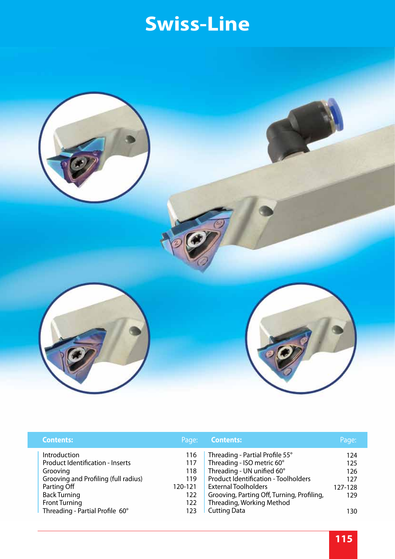

| <b>Contents:</b>                                                                                                                                                          | Page:                                             | <b>Contents:</b>                                                                                                                                                                                                                                     | Page:                                      |
|---------------------------------------------------------------------------------------------------------------------------------------------------------------------------|---------------------------------------------------|------------------------------------------------------------------------------------------------------------------------------------------------------------------------------------------------------------------------------------------------------|--------------------------------------------|
| Introduction<br><b>Product Identification - Inserts</b><br>Grooving<br>Grooving and Profiling (full radius)<br>Parting Off<br><b>Back Turning</b><br><b>Front Turning</b> | 116<br>117<br>118<br>119<br>120-121<br>122<br>122 | Threading - Partial Profile 55°<br>Threading - ISO metric 60°<br>Threading - UN unified 60°<br><b>Product Identification - Toolholders</b><br><b>External Toolholders</b><br>Grooving, Parting Off, Turning, Profiling,<br>Threading, Working Method | 124<br>125<br>126<br>127<br>127-128<br>129 |
| Threading - Partial Profile 60°                                                                                                                                           | 123                                               | <b>Cutting Data</b>                                                                                                                                                                                                                                  | 130                                        |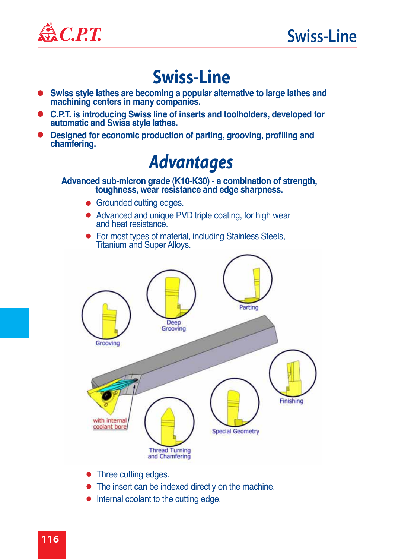

- **Swiss style lathes are becoming a popular alternative to large lathes and machining centers in many companies.**
- **C.P.T. is introducing Swiss line of inserts and toolholders, developed for automatic and Swiss style lathes.**
- **Designed for economic production of parting, grooving, profiling and**   $\bullet$ **chamfering.**

### *Advantages*

**Advanced sub-micron grade (K10-K30) - a combination of strength, toughness, wear resistance and edge sharpness.**

- Grounded cutting edges.
- Advanced and unique PVD triple coating, for high wear and heat resistance.
- For most types of material, including Stainless Steels, Titanium and Super Alloys.



- Three cutting edges.
- The insert can be indexed directly on the machine.
- Internal coolant to the cutting edge.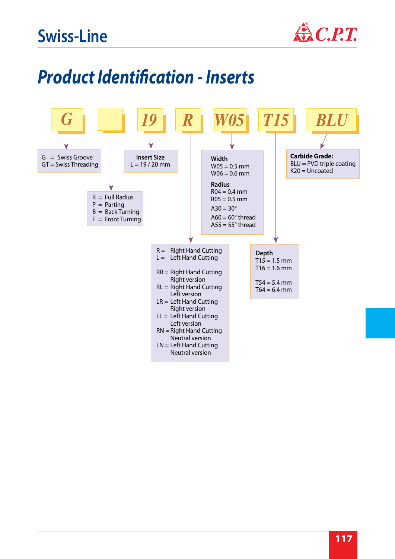

# *Product Identification - Inserts*

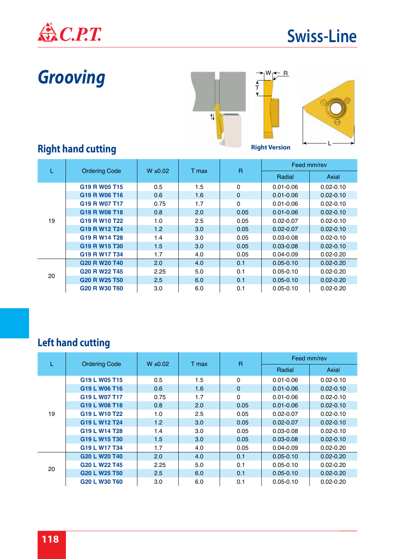

# *Grooving*



### **Right hand cutting**

|    |                                                   | $W \pm 0.02$ | T max | $\overline{R}$ | Feed mm/rev   |               |
|----|---------------------------------------------------|--------------|-------|----------------|---------------|---------------|
|    | <b>Ordering Code</b>                              |              |       |                | Radial        | Axial         |
|    | G <sub>19</sub> R W <sub>05</sub> T <sub>15</sub> | 0.5          | 1.5   | $\Omega$       | $0.01 - 0.06$ | $0.02 - 0.10$ |
|    | G <sub>19</sub> R W <sub>06</sub> T <sub>16</sub> | 0.6          | 1.6   | $\Omega$       | $0.01 - 0.06$ | $0.02 - 0.10$ |
|    | G <sub>19</sub> R W <sub>07</sub> T <sub>17</sub> | 0.75         | 1.7   | $\Omega$       | $0.01 - 0.06$ | $0.02 - 0.10$ |
|    | G19 R W08 T18                                     | 0.8          | 2.0   | 0.05           | $0.01 - 0.06$ | $0.02 - 0.10$ |
| 19 | G <sub>19</sub> R W <sub>10</sub> T <sub>22</sub> | 1.0          | 2.5   | 0.05           | $0.02 - 0.07$ | $0.02 - 0.10$ |
|    | G <sub>19</sub> R W <sub>12</sub> T <sub>24</sub> | 1.2          | 3.0   | 0.05           | $0.02 - 0.07$ | $0.02 - 0.10$ |
|    | G <sub>19</sub> R W <sub>14</sub> T <sub>28</sub> | 1.4          | 3.0   | 0.05           | $0.03 - 0.08$ | $0.02 - 0.10$ |
|    | G19 R W15 T30                                     | 1.5          | 3.0   | 0.05           | $0.03 - 0.08$ | $0.02 - 0.10$ |
|    | G <sub>19</sub> R W <sub>17</sub> T <sub>34</sub> | 1.7          | 4.0   | 0.05           | $0.04 - 0.09$ | $0.02 - 0.20$ |
|    | G <sub>20</sub> R W <sub>20</sub> T <sub>40</sub> | 2.0          | 4.0   | 0.1            | $0.05 - 0.10$ | $0.02 - 0.20$ |
| 20 | G <sub>20</sub> R W <sub>22</sub> T <sub>45</sub> | 2.25         | 5.0   | 0.1            | $0.05 - 0.10$ | $0.02 - 0.20$ |
|    | G <sub>20</sub> R W <sub>25</sub> T <sub>50</sub> | 2.5          | 6.0   | 0.1            | $0.05 - 0.10$ | $0.02 - 0.20$ |
|    | G <sub>20</sub> R W <sub>30</sub> T <sub>60</sub> | 3.0          | 6.0   | 0.1            | $0.05 - 0.10$ | $0.02 - 0.20$ |

|                     | <b>Ordering Code</b>                              |              |       | $\overline{R}$ | Feed mm/rev   |                                                                                                                                               |  |  |  |
|---------------------|---------------------------------------------------|--------------|-------|----------------|---------------|-----------------------------------------------------------------------------------------------------------------------------------------------|--|--|--|
|                     |                                                   | $W \pm 0.02$ | T max |                | Radial        | Axial<br>$0.01 - 0.06$<br>$0.02 - 0.10$<br>$0.01 - 0.06$<br>$0.02 - 0.10$<br>$0.01 - 0.06$<br>$0.02 - 0.10$<br>$0.01 - 0.06$<br>$0.02 - 0.10$ |  |  |  |
|                     | G <sub>19</sub> L W <sub>05</sub> T <sub>15</sub> | 0.5          | 1.5   | 0              |               |                                                                                                                                               |  |  |  |
|                     | G <sub>19</sub> L W <sub>06</sub> T <sub>16</sub> | 0.6          | 1.6   | $\mathbf{0}$   |               |                                                                                                                                               |  |  |  |
|                     | G19 L W07 T17                                     | 0.75         | 1.7   | $\Omega$       |               |                                                                                                                                               |  |  |  |
|                     | G <sub>19</sub> L W <sub>08</sub> T <sub>18</sub> | 0.8          | 2.0   | 0.05           |               |                                                                                                                                               |  |  |  |
| 19<br>G19 L W10 T22 |                                                   | 1.0          | 2.5   | 0.05           | $0.02 - 0.07$ | $0.02 - 0.10$                                                                                                                                 |  |  |  |
|                     | G19 L W12 T24                                     | 1.2          | 3.0   | 0.05           | $0.02 - 0.07$ | $0.02 - 0.10$                                                                                                                                 |  |  |  |
|                     | G <sub>19</sub> L W <sub>14</sub> T <sub>28</sub> | 1.4          | 3.0   | 0.05           | $0.03 - 0.08$ | $0.02 - 0.10$                                                                                                                                 |  |  |  |
|                     | G19 L W15 T30                                     | 1.5          | 3.0   | 0.05           | $0.03 - 0.08$ | $0.02 - 0.10$                                                                                                                                 |  |  |  |
|                     | G <sub>19</sub> L W <sub>17</sub> T <sub>34</sub> | 1.7          | 4.0   | 0.05           | $0.04 - 0.09$ | $0.02 - 0.20$                                                                                                                                 |  |  |  |
|                     | G20 L W20 T40                                     | 2.0          | 4.0   | 0.1            | $0.05 - 0.10$ | $0.02 - 0.20$                                                                                                                                 |  |  |  |
| 20                  | G <sub>20</sub> L W <sub>22</sub> T <sub>45</sub> | 2.25         | 5.0   | 0.1            | $0.05 - 0.10$ | $0.02 - 0.20$                                                                                                                                 |  |  |  |
|                     | G <sub>20</sub> L W <sub>25</sub> T <sub>50</sub> | 2.5          | 6.0   | 0.1            | $0.05 - 0.10$ | $0.02 - 0.20$                                                                                                                                 |  |  |  |
|                     | G <sub>20</sub> L W <sub>30</sub> T <sub>60</sub> | 3.0          | 6.0   | 0.1            | $0.05 - 0.10$ | $0.02 - 0.20$                                                                                                                                 |  |  |  |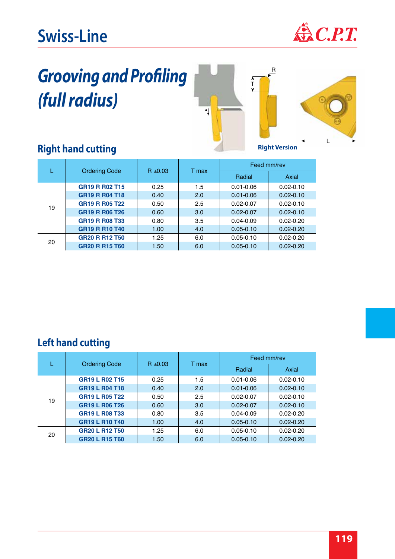

# *Grooving and Profiling (full radius)*





#### **Right hand cutting**

|    | <b>Ordering Code</b><br>$R \pm 0.03$               |      |       | Feed mm/rev   |               |  |
|----|----------------------------------------------------|------|-------|---------------|---------------|--|
|    |                                                    |      | T max | Radial        | Axial         |  |
|    | GR <sub>19</sub> R R <sub>02</sub> T <sub>15</sub> | 0.25 | 1.5   | $0.01 - 0.06$ | $0.02 - 0.10$ |  |
|    | GR <sub>19</sub> R R <sub>04</sub> T <sub>18</sub> | 0.40 | 2.0   | $0.01 - 0.06$ | $0.02 - 0.10$ |  |
| 19 | <b>GR19 R R05 T22</b>                              | 0.50 | 2.5   | $0.02 - 0.07$ | $0.02 - 0.10$ |  |
|    | GR19 R R06 T26                                     | 0.60 | 3.0   | $0.02 - 0.07$ | $0.02 - 0.10$ |  |
|    | GR <sub>19</sub> R R <sub>08</sub> T <sub>33</sub> | 0.80 | 3.5   | $0.04 - 0.09$ | $0.02 - 0.20$ |  |
|    | <b>GR19 R R10 T40</b>                              | 1.00 | 4.0   | $0.05 - 0.10$ | $0.02 - 0.20$ |  |
|    | <b>GR20 R R12 T50</b>                              | 1.25 | 6.0   | $0.05 - 0.10$ | $0.02 - 0.20$ |  |
| 20 | <b>GR20 R R15 T60</b>                              | 1.50 | 6.0   | $0.05 - 0.10$ | $0.02 - 0.20$ |  |

|    |                                                    | $R \pm 0.03$ |       | Feed mm/rev   |               |  |
|----|----------------------------------------------------|--------------|-------|---------------|---------------|--|
|    | <b>Ordering Code</b>                               |              | T max | Radial        | Axial         |  |
|    | GR <sub>19</sub> L R <sub>02</sub> T <sub>15</sub> | 0.25         | 1.5   | $0.01 - 0.06$ | $0.02 - 0.10$ |  |
|    | <b>GR19 L R04 T18</b>                              | 0.40         | 2.0   | $0.01 - 0.06$ | $0.02 - 0.10$ |  |
| 19 | <b>GR19 L R05 T22</b>                              | 0.50         | 2.5   | $0.02 - 0.07$ | $0.02 - 0.10$ |  |
|    | <b>GR19 L R06 T26</b>                              | 0.60         | 3.0   | $0.02 - 0.07$ | $0.02 - 0.10$ |  |
|    | <b>GR19 L R08 T33</b>                              | 0.80         | 3.5   | $0.04 - 0.09$ | $0.02 - 0.20$ |  |
|    | GR19 L R10 T40                                     | 1.00         | 4.0   | $0.05 - 0.10$ | $0.02 - 0.20$ |  |
| 20 | <b>GR20 L R12 T50</b>                              | 1.25         | 6.0   | $0.05 - 0.10$ | $0.02 - 0.20$ |  |
|    | <b>GR20 L R15 T60</b>                              | 1.50         | 6.0   | $0.05 - 0.10$ | $0.02 - 0.20$ |  |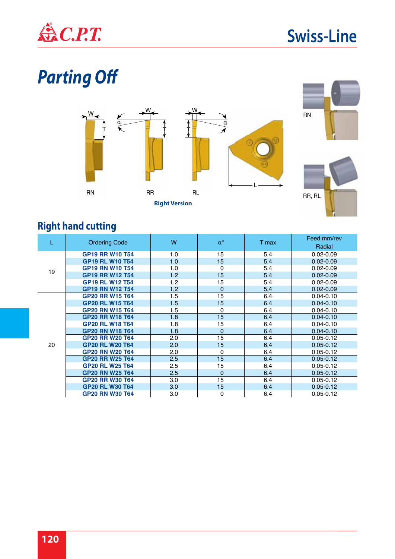

# *Parting Off*



#### **Right hand cutting**

|    | <b>Ordering Code</b>   | W   | $\alpha^{\rm o}$ | T max | Feed mm/rev<br>Radial |
|----|------------------------|-----|------------------|-------|-----------------------|
|    | <b>GP19 RR W10 T54</b> | 1.0 | 15               | 5.4   | $0.02 - 0.09$         |
|    | <b>GP19 RL W10 T54</b> | 1.0 | 15               | 5.4   | $0.02 - 0.09$         |
| 19 | <b>GP19 RN W10 T54</b> | 1.0 | 0                | 5.4   | $0.02 - 0.09$         |
|    | <b>GP19 RR W12 T54</b> | 1.2 | 15               | 5.4   | $0.02 - 0.09$         |
|    | <b>GP19 RL W12 T54</b> | 1.2 | 15               | 5.4   | $0.02 - 0.09$         |
|    | <b>GP19 RN W12 T54</b> | 1.2 | 0                | 5.4   | $0.02 - 0.09$         |
|    | <b>GP20 RR W15 T64</b> | 1.5 | 15               | 6.4   | $0.04 - 0.10$         |
|    | <b>GP20 RL W15 T64</b> | 1.5 | 15               | 6.4   | $0.04 - 0.10$         |
|    | <b>GP20 RN W15 T64</b> | 1.5 | 0                | 6.4   | $0.04 - 0.10$         |
|    | <b>GP20 RR W18 T64</b> | 1.8 | 15               | 6.4   | $0.04 - 0.10$         |
|    | <b>GP20 RL W18 T64</b> | 1.8 | 15               | 6.4   | $0.04 - 0.10$         |
|    | <b>GP20 RN W18 T64</b> | 1.8 | 0                | 6.4   | $0.04 - 0.10$         |
|    | <b>GP20 RR W20 T64</b> | 2.0 | 15               | 6.4   | $0.05 - 0.12$         |
| 20 | <b>GP20 RL W20 T64</b> | 2.0 | 15               | 6.4   | $0.05 - 0.12$         |
|    | <b>GP20 RN W20 T64</b> | 2.0 | 0                | 6.4   | $0.05 - 0.12$         |
|    | <b>GP20 RR W25 T64</b> | 2.5 | 15               | 6.4   | $0.05 - 0.12$         |
|    | <b>GP20 RL W25 T64</b> | 2.5 | 15               | 6.4   | $0.05 - 0.12$         |
|    | <b>GP20 RN W25 T64</b> | 2.5 | 0                | 6.4   | $0.05 - 0.12$         |
|    | <b>GP20 RR W30 T64</b> | 3.0 | 15               | 6.4   | $0.05 - 0.12$         |
|    | <b>GP20 RL W30 T64</b> | 3.0 | 15               | 6.4   | $0.05 - 0.12$         |
|    | <b>GP20 RN W30 T64</b> | 3.0 | 0                | 6.4   | $0.05 - 0.12$         |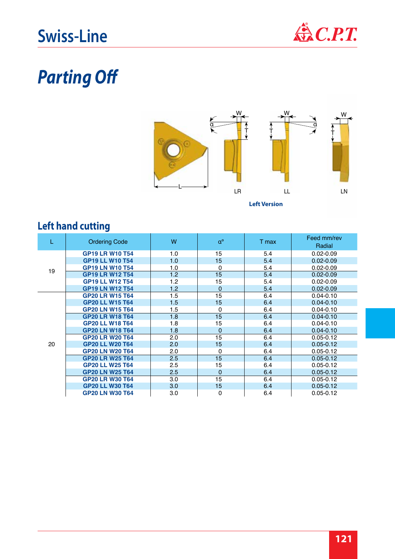

# *Parting Off*



| L  | <b>Ordering Code</b>   | W   | $\alpha^{\rm o}$ | T max | Feed mm/rev<br>Radial |
|----|------------------------|-----|------------------|-------|-----------------------|
|    | <b>GP19 LR W10 T54</b> | 1.0 | 15               | 5.4   | $0.02 - 0.09$         |
|    | <b>GP19 LL W10 T54</b> | 1.0 | 15               | 5.4   | $0.02 - 0.09$         |
| 19 | <b>GP19 LN W10 T54</b> | 1.0 | 0                | 5.4   | $0.02 - 0.09$         |
|    | <b>GP19 LR W12 T54</b> | 1.2 | 15               | 5.4   | $0.02 - 0.09$         |
|    | <b>GP19 LL W12 T54</b> | 1.2 | 15               | 5.4   | $0.02 - 0.09$         |
|    | <b>GP19 LN W12 T54</b> | 1.2 | $\mathbf 0$      | 5.4   | $0.02 - 0.09$         |
|    | <b>GP20 LR W15 T64</b> | 1.5 | 15               | 6.4   | $0.04 - 0.10$         |
|    | <b>GP20 LL W15 T64</b> | 1.5 | 15               | 6.4   | $0.04 - 0.10$         |
|    | <b>GP20 LN W15 T64</b> | 1.5 | 0                | 6.4   | $0.04 - 0.10$         |
|    | <b>GP20 LR W18 T64</b> | 1.8 | 15               | 6.4   | $0.04 - 0.10$         |
|    | <b>GP20 LL W18 T64</b> | 1.8 | 15               | 6.4   | $0.04 - 0.10$         |
|    | <b>GP20 LN W18 T64</b> | 1.8 | $\overline{0}$   | 6.4   | $0.04 - 0.10$         |
|    | <b>GP20 LR W20 T64</b> | 2.0 | 15               | 6.4   | $0.05 - 0.12$         |
| 20 | <b>GP20 LL W20 T64</b> | 2.0 | 15               | 6.4   | $0.05 - 0.12$         |
|    | <b>GP20 LN W20 T64</b> | 2.0 | $\mathbf 0$      | 6.4   | $0.05 - 0.12$         |
|    | <b>GP20 LR W25 T64</b> | 2.5 | 15               | 6.4   | $0.05 - 0.12$         |
|    | <b>GP20 LL W25 T64</b> | 2.5 | 15               | 6.4   | $0.05 - 0.12$         |
|    | <b>GP20 LN W25 T64</b> | 2.5 | $\mathbf 0$      | 6.4   | $0.05 - 0.12$         |
|    | <b>GP20 LR W30 T64</b> | 3.0 | 15               | 6.4   | $0.05 - 0.12$         |
|    | <b>GP20 LL W30 T64</b> | 3.0 | 15               | 6.4   | $0.05 - 0.12$         |
|    | <b>GP20 LN W30 T64</b> | 3.0 | 0                | 6.4   | $0.05 - 0.12$         |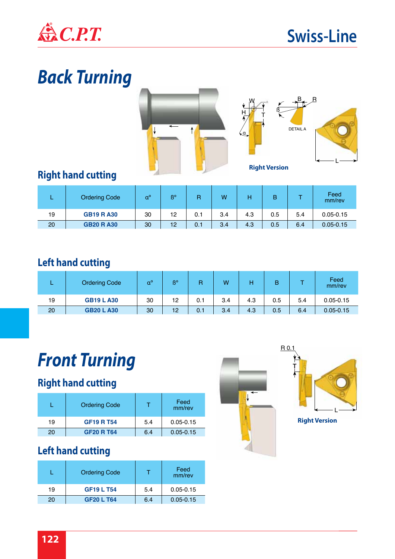

# *Back Turning*





### **Right hand cutting**

|    | <b>Ordering Code</b> | $a^{\circ}$ | ß° | R   | W   |     | в   |     | Feed<br>mm/rev |
|----|----------------------|-------------|----|-----|-----|-----|-----|-----|----------------|
| 19 | <b>GB19 RA30</b>     | 30          | 12 | 0.1 | 3.4 | 4.3 | 0.5 | 5.4 | $0.05 - 0.15$  |
| 20 | <b>GB20 RA30</b>     | 30          | 12 | 0.1 | 3.4 | 4.3 | 0.5 | 6.4 | $0.05 - 0.15$  |

#### **Left hand cutting**

|    | <b>Ordering Code</b> | $\alpha^{\rm o}$ | B° |     | W   |     | B   |     | Feed<br>mm/rev |
|----|----------------------|------------------|----|-----|-----|-----|-----|-----|----------------|
| 19 | <b>GB19 LA30</b>     | 30               | 12 | 0.1 | 3.4 | 4.3 | 0.5 | 5.4 | $0.05 - 0.15$  |
| 20 | <b>GB20 L A30</b>    | 30               | 12 | 0.1 | 3.4 | 4.3 | 0.5 | 6.4 | $0.05 - 0.15$  |

# *Front Turning*

#### **Right hand cutting**

|    | <b>Ordering Code</b> |     | Feed<br>mm/rev |
|----|----------------------|-----|----------------|
| 19 | <b>GF19 R T54</b>    | 5.4 | $0.05 - 0.15$  |
| 20 | <b>GF20 R T64</b>    | 6.4 | $0.05 - 0.15$  |

#### **Left hand cutting**

|    | <b>Ordering Code</b> |     | Feed<br>mm/rev |
|----|----------------------|-----|----------------|
| 19 | <b>GF19 L T54</b>    | 5.4 | $0.05 - 0.15$  |
| 20 | <b>GF20 L T64</b>    | 6.4 | $0.05 - 0.15$  |





**Right Version**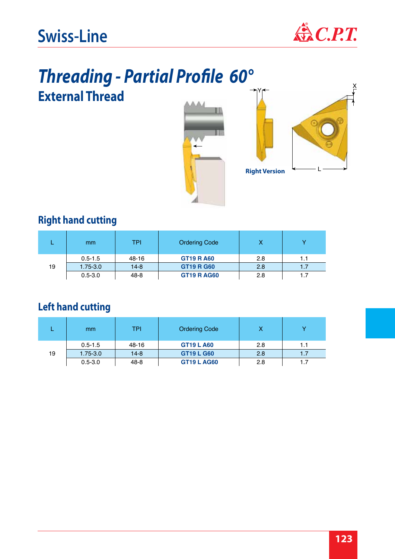

# *Threading - Partial Profile 60°* **External Thread**





Y

#### **Right hand cutting**

|    | <sub>mm</sub> | <b>TPI</b> | <b>Ordering Code</b> | х   |     |
|----|---------------|------------|----------------------|-----|-----|
|    | $0.5 - 1.5$   | 48-16      | <b>GT19 R A60</b>    | 2.8 | 1.1 |
| 19 | $1.75 - 3.0$  | $14 - 8$   | <b>GT19 R G60</b>    | 2.8 | 1.7 |
|    | $0.5 - 3.0$   | 48-8       | <b>GT19 R AG60</b>   | 2.8 |     |

|    | <sub>mm</sub> | TPI    | <b>Ordering Code</b> |     |     |
|----|---------------|--------|----------------------|-----|-----|
|    | $0.5 - 1.5$   | 48-16  | <b>GT19 L A60</b>    | 2.8 | 1.1 |
| 19 | $1.75 - 3.0$  | $14-8$ | <b>GT19 L G60</b>    | 2.8 | 1.7 |
|    | $0.5 - 3.0$   | 48-8   | <b>GT19 L AG60</b>   | 2.8 |     |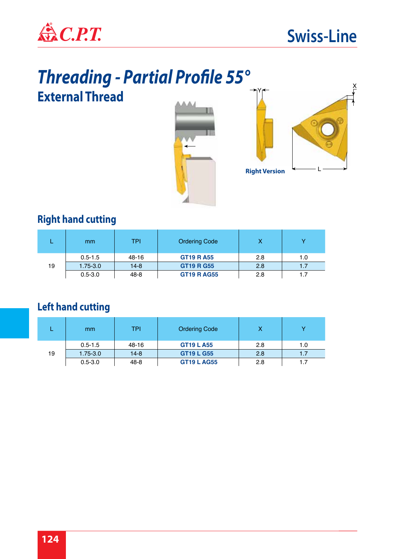

# *Threading - Partial Profile 55°* **External Thread**





#### **Right hand cutting**

|    | <sub>mm</sub> | TPI      | <b>Ordering Code</b> | x   |     |
|----|---------------|----------|----------------------|-----|-----|
|    | $0.5 - 1.5$   | 48-16    | <b>GT19 R A55</b>    | 2.8 | 1.0 |
| 19 | $1.75 - 3.0$  | $14 - 8$ | <b>GT19 R G55</b>    | 2.8 | 1.7 |
|    | $0.5 - 3.0$   | 48-8     | <b>GT19 R AG55</b>   | 2.8 |     |

|    | <sub>mm</sub> | <b>TPI</b> | <b>Ordering Code</b> |     |     |
|----|---------------|------------|----------------------|-----|-----|
|    | $0.5 - 1.5$   | 48-16      | <b>GT19 L A55</b>    | 2.8 | 1.0 |
| 19 | $1.75 - 3.0$  | $14 - 8$   | <b>GT19 L G55</b>    | 2.8 |     |
|    | $0.5 - 3.0$   | 48-8       | <b>GT19 L AG55</b>   | 2.8 |     |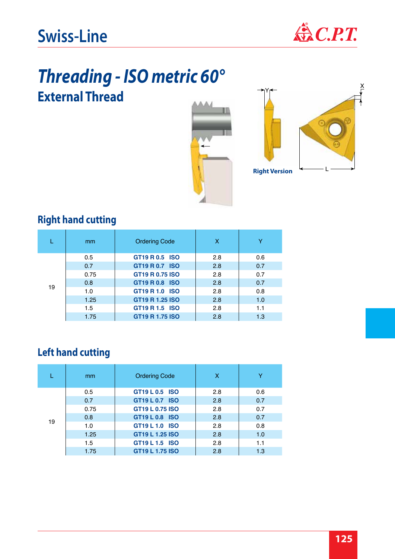

### *Threading - ISO metric 60°* **External Thread**





### **Right hand cutting**

|    | mm   | <b>Ordering Code</b> | x   | v   |
|----|------|----------------------|-----|-----|
|    | 0.5  | GT19 R 0.5 ISO       | 2.8 | 0.6 |
|    | 0.7  | GT19 R 0.7 ISO       | 2.8 | 0.7 |
|    | 0.75 | GT19 R 0.75 ISO      | 2.8 | 0.7 |
| 19 | 0.8  | GT19 R 0.8 ISO       | 2.8 | 0.7 |
|    | 1.0  | GT19 R 1.0 ISO       | 2.8 | 0.8 |
|    | 1.25 | GT19 R 1.25 ISO      | 2.8 | 1.0 |
|    | 1.5  | GT19 R 1.5 ISO       | 2.8 | 1.1 |
|    | 1.75 | GT19 R 1.75 ISO      | 2.8 | 1.3 |

|    | mm   | <b>Ordering Code</b>   | X   | Y   |
|----|------|------------------------|-----|-----|
|    | 0.5  | GT19 L 0.5 ISO         | 2.8 | 0.6 |
|    | 0.7  | GT19 L 0.7 ISO         | 2.8 | 0.7 |
|    | 0.75 | GT19 L 0.75 ISO        | 2.8 | 0.7 |
| 19 | 0.8  | GT19 L 0.8 ISO         | 2.8 | 0.7 |
|    | 1.0  | GT19 L 1.0 ISO         | 2.8 | 0.8 |
|    | 1.25 | GT19 L 1.25 ISO        | 2.8 | 1.0 |
|    | 1.5  | GT19 L 1.5 ISO         | 2.8 | 1.1 |
|    | 1.75 | <b>GT19 L 1.75 ISO</b> | 2.8 | 1.3 |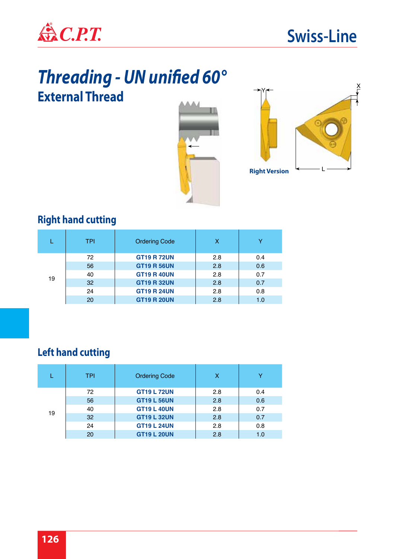

# *Threading - UN unified 60°* **External Thread**





#### **Right hand cutting**

|    | TPI | <b>Ordering Code</b> | x   | v   |
|----|-----|----------------------|-----|-----|
| 19 | 72  | <b>GT19 R 72UN</b>   | 2.8 | 0.4 |
|    | 56  | <b>GT19 R 56UN</b>   | 2.8 | 0.6 |
|    | 40  | <b>GT19 R 40UN</b>   | 2.8 | 0.7 |
|    | 32  | <b>GT19 R 32UN</b>   | 2.8 | 0.7 |
|    | 24  | <b>GT19 R 24UN</b>   | 2.8 | 0.8 |
|    | 20  | <b>GT19 R 20UN</b>   | 2.8 | 1.0 |

|    | <b>TPI</b> | <b>Ordering Code</b> | х   | v   |
|----|------------|----------------------|-----|-----|
|    | 72         | <b>GT19 L 72UN</b>   | 2.8 | 0.4 |
|    | 56         | <b>GT19 L 56UN</b>   | 2.8 | 0.6 |
|    | 40         | <b>GT19 L 40UN</b>   | 2.8 | 0.7 |
| 19 | 32         | <b>GT19 L 32UN</b>   | 2.8 | 0.7 |
|    | 24         | <b>GT19 L 24UN</b>   | 2.8 | 0.8 |
|    | 20         | <b>GT19 L 20UN</b>   | 2.8 | 1.0 |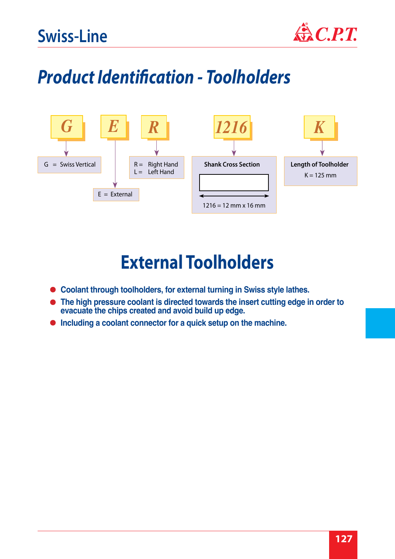

# *Product Identification - Toolholders*



### **External Toolholders**

- **Coolant through toolholders, for external turning in Swiss style lathes.**
- **The high pressure coolant is directed towards the insert cutting edge in order to evacuate the chips created and avoid build up edge.**
- **Including a coolant connector for a quick setup on the machine.**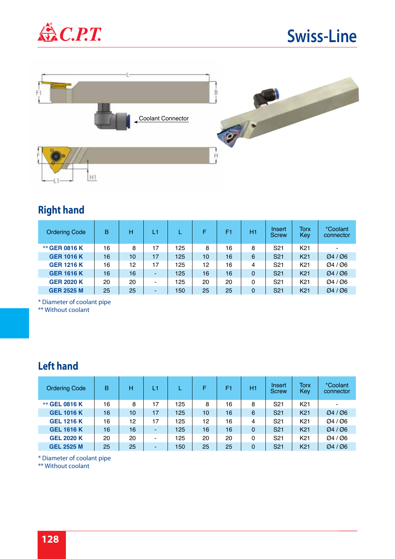



#### **Right hand**

| <b>Ordering Code</b> | B  | н  | L١                       |     |    | F1 | H1       | Insert<br><b>Screw</b> | Torx<br>Key     | <i>*Coolant</i><br>connector      |
|----------------------|----|----|--------------------------|-----|----|----|----------|------------------------|-----------------|-----------------------------------|
| <b>** GER 0816 K</b> | 16 | 8  | 17                       | 125 | 8  | 16 | 8        | S <sub>21</sub>        | K <sub>21</sub> | $\blacksquare$                    |
| <b>GER 1016 K</b>    | 16 | 10 | 17                       | 125 | 10 | 16 | 6        | S <sub>21</sub>        | K <sub>21</sub> | $\varnothing$ 4 / $\varnothing$ 6 |
| <b>GER 1216 K</b>    | 16 | 12 | 17                       | 125 | 12 | 16 | 4        | S <sub>21</sub>        | K <sub>21</sub> | Ø4/Ø6                             |
| <b>GER 1616 K</b>    | 16 | 16 | $\overline{\phantom{a}}$ | 125 | 16 | 16 | $\Omega$ | S <sub>21</sub>        | K <sub>21</sub> | Ø4 / Ø6                           |
| <b>GER 2020 K</b>    | 20 | 20 | $\overline{\phantom{a}}$ | 125 | 20 | 20 | 0        | S <sub>21</sub>        | K <sub>21</sub> | Ø4/Ø6                             |
| <b>GER 2525 M</b>    | 25 | 25 | $\overline{\phantom{a}}$ | 150 | 25 | 25 | $\Omega$ | S <sub>21</sub>        | K <sub>21</sub> | Ø4/Ø6                             |

\* Diameter of coolant pipe

\*\* Without coolant

#### **Left hand**

| <b>Ordering Code</b> | B  | н  | L1             |     | F  | F1 | H <sub>1</sub> | Insert<br><b>Screw</b> | Torx<br>Key     | <i>*Coolant</i><br>connector |
|----------------------|----|----|----------------|-----|----|----|----------------|------------------------|-----------------|------------------------------|
| <b>** GEL 0816 K</b> | 16 | 8  | 17             | 125 | 8  | 16 | 8              | S <sub>21</sub>        | K <sub>21</sub> | -                            |
| <b>GEL 1016 K</b>    | 16 | 10 | 17             | 125 | 10 | 16 | 6              | S <sub>21</sub>        | K <sub>21</sub> | Ø4/Ø6                        |
| <b>GEL 1216 K</b>    | 16 | 12 | 17             | 125 | 12 | 16 | 4              | S <sub>21</sub>        | K <sub>21</sub> | Ø4/Ø6                        |
| <b>GEL 1616 K</b>    | 16 | 16 | $\blacksquare$ | 125 | 16 | 16 | 0              | S <sub>21</sub>        | K <sub>21</sub> | Ø4/Ø6                        |
| <b>GEL 2020 K</b>    | 20 | 20 | $\blacksquare$ | 125 | 20 | 20 | 0              | S <sub>21</sub>        | K <sub>21</sub> | Ø4/Ø6                        |
| <b>GEL 2525 M</b>    | 25 | 25 | $\blacksquare$ | 150 | 25 | 25 | 0              | S <sub>21</sub>        | K <sub>21</sub> | Ø4/Ø6                        |

\* Diameter of coolant pipe

\*\* Without coolant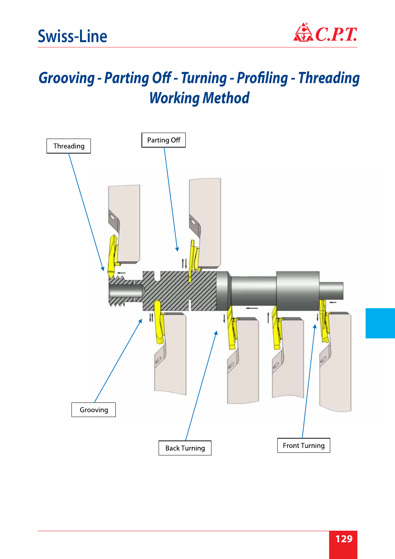

### *Grooving - Parting Off - Turning - Profiling - Threading Working Method*